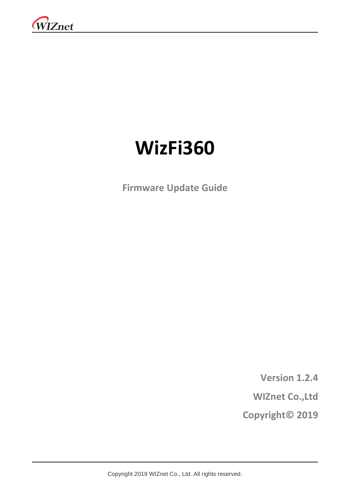

# **WizFi360**

**Firmware Update Guide**

**Version 1.2.4 WIZnet Co.,Ltd**

**Copyright© 2019**

Copyright 2019 WIZnet Co., Ltd. All rights reserved.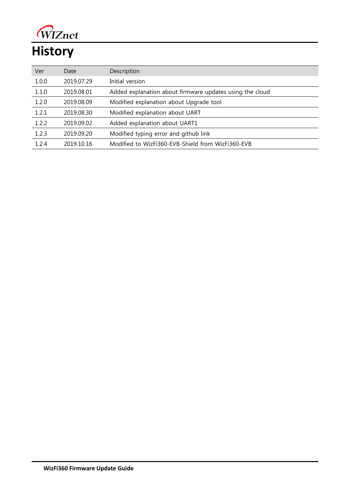

# **History**

| Ver   | Date       | Description                                              |
|-------|------------|----------------------------------------------------------|
| 1.0.0 | 2019.07.29 | Initial version                                          |
| 1.1.0 | 2019.08.01 | Added explanation about firmware updates using the cloud |
| 1.2.0 | 2019.08.09 | Modified explanation about Upgrade tool                  |
| 1.2.1 | 2019.08.30 | Modified explanation about UART                          |
| 1.2.2 | 2019.09.02 | Added explanation about UART1                            |
| 1.2.3 | 2019.09.20 | Modified typing error and github link                    |
| 1.2.4 | 2019.10.16 | Modified to WizFi360-EVB-Shield from WizFi360-EVB        |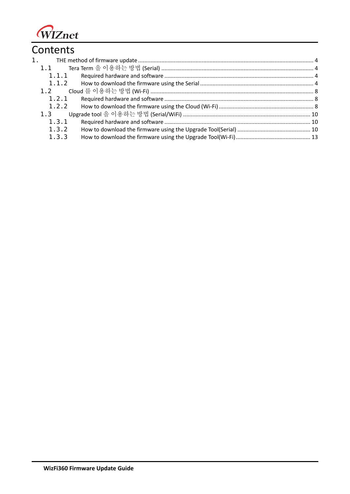

# **Contents**

| 1.    |  |
|-------|--|
| 1.1   |  |
| 1.1.1 |  |
| 1.1.2 |  |
| 1.2   |  |
| 1.2.1 |  |
| 1.2.2 |  |
| 1.3   |  |
| 1.3.1 |  |
| 1.3.2 |  |
| 1.3.3 |  |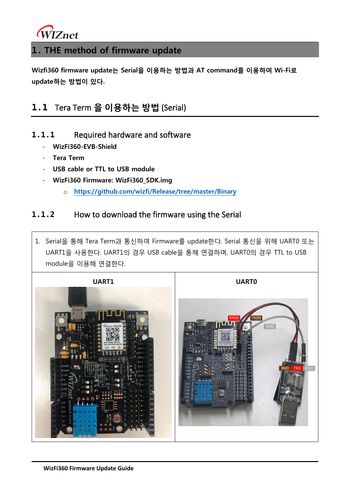

#### <span id="page-3-0"></span>**1. THE method of firmware update**

**Wizfi360 firmware update는 Serial을 이용하는 방법과 AT command를 이용하여 Wi-Fi로 update하는 방법이 있다.**

## <span id="page-3-1"></span>**1.1** Tera Term **을 이용하는 방법** (Serial)

- <span id="page-3-2"></span>**1.1.1** Required hardware and software
	- **WizFi360-EVB-Shield**
	- **Tera Term**
	- **USB cable or TTL to USB module**
	- **WizFi360 Firmware: WizFi360\_SDK.img**
		- o **<https://github.com/wizfi/Release/tree/master/Binary>**

#### <span id="page-3-3"></span>**1.1.2** How to download the firmware using the Serial

1. Serial을 통해 Tera Term과 통신하여 Firmware를 update한다. Serial 통신을 위해 UART0 또는 UART1을 사용한다. UART1의 경우 USB cable을 통해 연결하며, UART0의 경우 TTL to USB module을 이용해 연결한다.

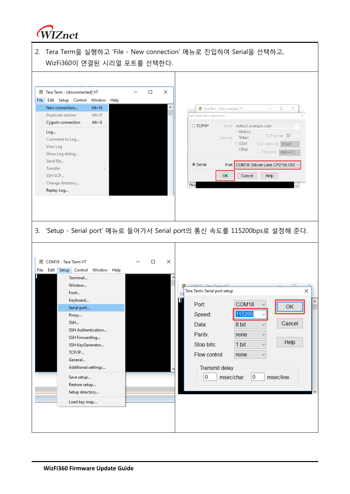

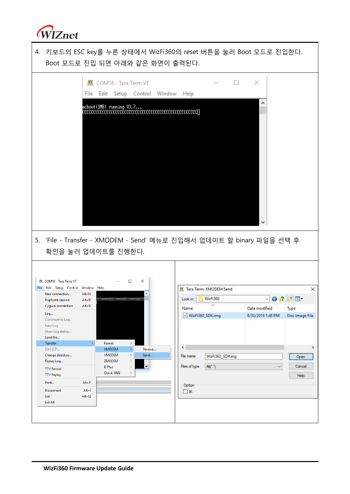

| 4. 키보드의 ESC key를 누른 상태에서 WizFi360의 reset 버튼을 눌러 Boot 모드로 진입한다.<br>Boot 모드로 진입 되면 아래와 같은 화면이 출력된다. |                        |                                                             |                               |  |                          |                                  |                |                                    |                                            |
|---------------------------------------------------------------------------------------------------|------------------------|-------------------------------------------------------------|-------------------------------|--|--------------------------|----------------------------------|----------------|------------------------------------|--------------------------------------------|
|                                                                                                   | <u>ит</u>              | COM18 - Tera Term VT<br>File Edit Setup Control Window Help |                               |  |                          |                                  | П.<br>$\times$ |                                    |                                            |
|                                                                                                   |                        | ecboot(1HB) running V3.7                                    |                               |  |                          |                                  |                |                                    |                                            |
| 5. 'File - Transfer - XMODEM - Send' 메뉴로 진입해서 업데이트 할 binary 파일을 선택 후<br>확인을 눌러 업데이트를 진행한다.        |                        |                                                             |                               |  |                          |                                  |                |                                    |                                            |
| COM18 - Tera Term VT                                                                              |                        |                                                             | $\Box$<br>$\times$            |  |                          |                                  |                |                                    |                                            |
| File Edit Setup Control                                                                           | Window Help            |                                                             |                               |  |                          | <b>VI</b> Tera Term: XMODEM Send |                |                                    | $\times$                                   |
| New connection<br>Duplicate session                                                               | $Alt + N$<br>$Alt + D$ |                                                             |                               |  | Look in:                 | WizFi360                         |                |                                    | $\odot$ $\odot$ $\odot$ $\square$ $\vdash$ |
| Cygwin connection                                                                                 | $Alt+G$                |                                                             |                               |  |                          | $\wedge$                         |                |                                    |                                            |
| Log<br>Comment to Log<br>View Log<br>Show Log dialog<br>Send file                                 |                        |                                                             |                               |  | Name<br>WizFi360_SDK.img |                                  |                | Date modified<br>8/30/2019 1:48 PM | Type<br>Disc Image File                    |
| <b>Transfer</b>                                                                                   | ×.                     | Kermit                                                      | $\rightarrow$                 |  |                          |                                  |                |                                    |                                            |
| SSH SCP                                                                                           |                        | XMODEM                                                      | Receive<br>$\rightarrow$      |  | ⋖                        |                                  |                |                                    | >                                          |
| Change directory                                                                                  |                        | YMODEM<br>ZMODEM                                            | Send<br>$\,$<br>$\rightarrow$ |  | File name:               | WizFi360_SDK.img                 |                |                                    | Open                                       |
| Replay Log                                                                                        |                        | <b>B-Plus</b>                                               | $\rightarrow$                 |  | Files of type:           | $All(^{+}, ^{+})$                |                | $\checkmark$                       | Cancel                                     |
| <b>TTY Record</b><br><b>TTY Replay</b>                                                            |                        | Quick-VAN                                                   | $\,$                          |  |                          |                                  |                |                                    | Help                                       |
| Print                                                                                             | $Alt + P$              |                                                             |                               |  |                          |                                  |                |                                    |                                            |
| Disconnect                                                                                        | $Alt+1$                |                                                             |                               |  | Option                   |                                  |                |                                    |                                            |
| Exit                                                                                              | $Alt + Q$              |                                                             |                               |  | $\Box$ 1K                |                                  |                |                                    |                                            |
| Exit All                                                                                          |                        |                                                             |                               |  |                          |                                  |                |                                    |                                            |
|                                                                                                   |                        |                                                             |                               |  |                          |                                  |                |                                    |                                            |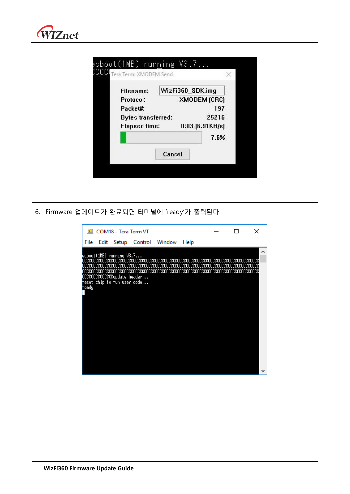

| CCCI                                                                                                  | ecboot(1MB) run <u>n</u> ing V3.7<br>Tera Term: XMODEM Send<br>×                                                                                                                   |  |  |  |  |  |  |
|-------------------------------------------------------------------------------------------------------|------------------------------------------------------------------------------------------------------------------------------------------------------------------------------------|--|--|--|--|--|--|
|                                                                                                       | WizFi360_SDK.img<br>Filename:<br>Protocol:<br><b>XMODEM (CRC)</b><br>Packet#:<br>197<br>25216<br><b>Bytes transferred:</b><br>Elapsed time:<br>$0:03$ [6.91KB/s]<br>7.6%<br>Cancel |  |  |  |  |  |  |
| 6. Firmware 업데이트가 완료되면 터미널에 'ready'가 출력된다.                                                            |                                                                                                                                                                                    |  |  |  |  |  |  |
| VT.<br>ecboot(1HB) running V3.7<br>CCCCCCCCCCCCCupdate header<br>reset chip to run user code<br>ready | COM18 - Tera Term VT<br>$\Box$<br>×<br>File Edit Setup Control Window Help<br>۸<br>CCCCCCCCCC                                                                                      |  |  |  |  |  |  |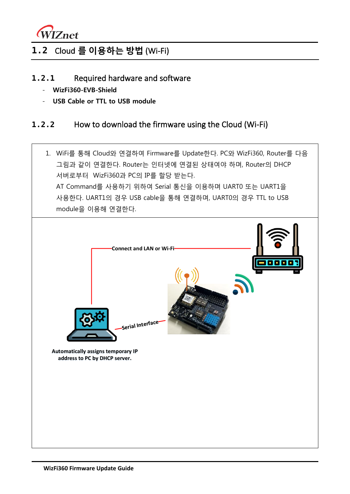

# <span id="page-7-0"></span>**1.2** Cloud **를 이용하는 방법** (Wi-Fi)

- <span id="page-7-1"></span>**1.2.1** Required hardware and software
	- **WizFi360-EVB-Shield**
	- **USB Cable or TTL to USB module**

#### <span id="page-7-2"></span>**1.2.2** How to download the firmware using the Cloud (Wi-Fi)

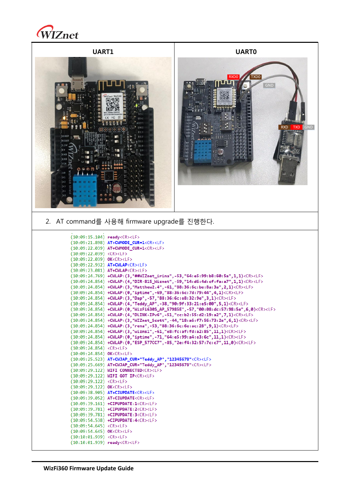

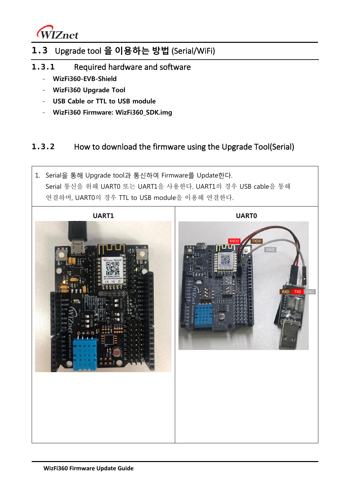

## <span id="page-9-0"></span>**1.3** Upgrade tool **을 이용하는 방법** (Serial/WiFi)

- <span id="page-9-1"></span>**1.3.1** Required hardware and software
	- **WizFi360-EVB-Shield**
	- **WizFi360 Upgrade Tool**
	- **USB Cable or TTL to USB module**
	- **WizFi360 Firmware: WizFi360\_SDK.img**

#### <span id="page-9-2"></span>**1.3.2** How to download the firmware using the Upgrade Tool(Serial)

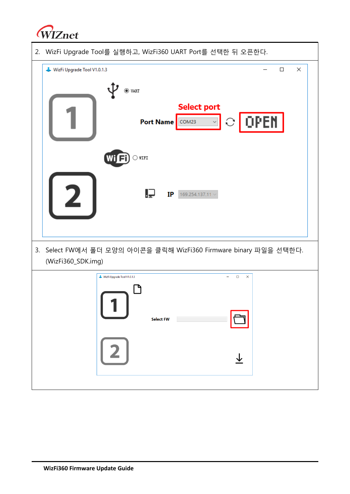

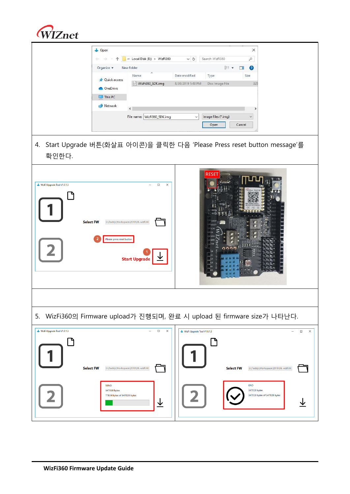

|                                                 | Open<br>X<br>« Local Disk (E:) > WizFi360<br>Search WizFi360<br>Q<br>$\vee$ 0<br>€<br>⇛<br><b>EE</b><br>Organize v<br>Ø<br>New folder<br>Name<br>Date modified<br>Type<br>Size<br><b>Quick access</b><br>WizFi360_SDK.img<br>8/30/2019 1:48 PM<br>Disc Image File<br>325<br><b>OneDrive</b><br>$\n  This PC\n$<br>Network<br>$\epsilon$<br>Image files (*.img)<br>File name: WizFi360_SDK.img<br>$\checkmark$<br>Open<br>Cancel |
|-------------------------------------------------|---------------------------------------------------------------------------------------------------------------------------------------------------------------------------------------------------------------------------------------------------------------------------------------------------------------------------------------------------------------------------------------------------------------------------------|
| 확인한다.                                           | 4. Start Upgrade 버튼(화살표 아이콘)을 클릭한 다음 'Please Press reset button message'를                                                                                                                                                                                                                                                                                                                                                       |
| WizFi Upgrade Tool V1.0.1.3<br><b>Select FW</b> | $\Box$<br>$\times$<br>E:\Teddy\Workspace\2019\06. wizfi360<br>Please press reset buttor<br><b>Start Upgrade</b>                                                                                                                                                                                                                                                                                                                 |
|                                                 |                                                                                                                                                                                                                                                                                                                                                                                                                                 |
| 5.                                              | WizFi360의 Firmware upload가 진행되며, 완료 시 upload 된 firmware size가 나타난다.<br>$\sim$<br>$\overline{\phantom{0}}$                                                                                                                                                                                                                                                                                                                       |
| WizFi Upgrade Tool V1.0.1.3<br><b>Select FW</b> | $\Box$<br>$\times$<br>WizFi Upgrade Tool V1.0.1.3<br>$\Box$<br>$\times$<br>E:\Teddy\Workspace\2019\06. wizfi360<br><b>Select FW</b><br>E:\Teddy\Workspace\2019\06. wizfi360<br><b>END</b><br><b>SEND</b><br>347028 bytes<br>347028 bytes<br>347028 bytes of 347028 bytes<br>77824 bytes of 347028 bytes<br>↓                                                                                                                    |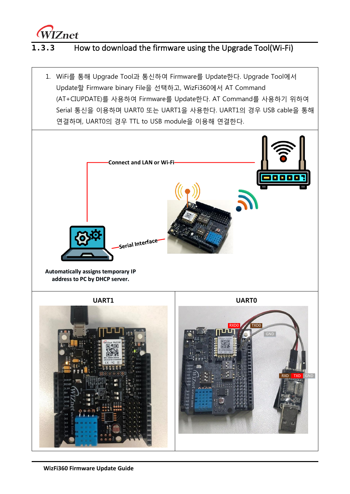

#### <span id="page-12-0"></span>**1.3.3** How to download the firmware using the Upgrade Tool(Wi-Fi)

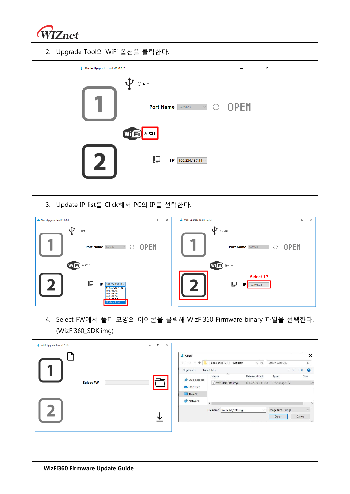

2. Upgrade Tool의 WiFi 옵션을 클릭한다.